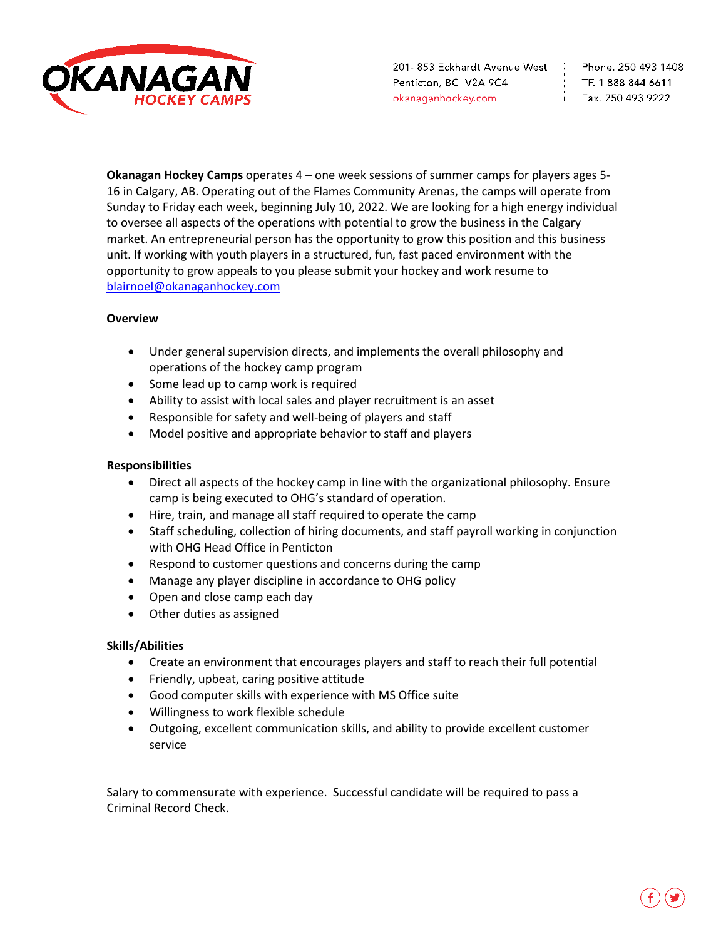

TF. 1888 844 6611  $5.2504939222$ 

**Okanagan Hockey Camps** operates 4 – one week sessions of summer camps for players ages 5- 16 in Calgary, AB. Operating out of the Flames Community Arenas, the camps will operate from Sunday to Friday each week, beginning July 10, 2022. We are looking for a high energy individual to oversee all aspects of the operations with potential to grow the business in the Calgary market. An entrepreneurial person has the opportunity to grow this position and this business unit. If working with youth players in a structured, fun, fast paced environment with the opportunity to grow appeals to you please submit your hockey and work resume to [blairnoel@okanaganhockey.com](mailto:blairnoel@okanaganhockey.com) 

## **Overview**

- Under general supervision directs, and implements the overall philosophy and operations of the hockey camp program
- Some lead up to camp work is required
- Ability to assist with local sales and player recruitment is an asset
- Responsible for safety and well-being of players and staff
- Model positive and appropriate behavior to staff and players

## **Responsibilities**

- Direct all aspects of the hockey camp in line with the organizational philosophy. Ensure camp is being executed to OHG's standard of operation.
- Hire, train, and manage all staff required to operate the camp
- Staff scheduling, collection of hiring documents, and staff payroll working in conjunction with OHG Head Office in Penticton
- Respond to customer questions and concerns during the camp
- Manage any player discipline in accordance to OHG policy
- Open and close camp each day
- Other duties as assigned

## **Skills/Abilities**

- Create an environment that encourages players and staff to reach their full potential
- Friendly, upbeat, caring positive attitude
- Good computer skills with experience with MS Office suite
- Willingness to work flexible schedule
- Outgoing, excellent communication skills, and ability to provide excellent customer service

Salary to commensurate with experience. Successful candidate will be required to pass a Criminal Record Check.